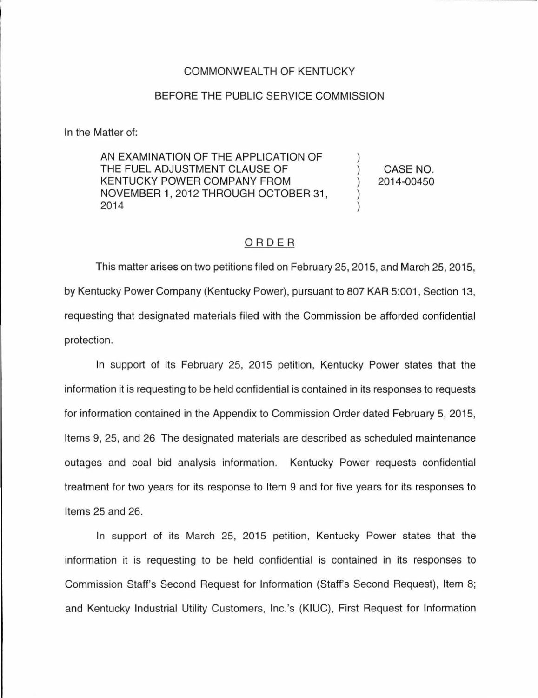## COMMONWEALTH OF KENTUCKY

## BEFORE THE PUBLIC SERVICE COMMISSION

In the Matter of:

AN EXAMINATION OF THE APPLICATION OF THE FUEL ADJUSTMENT CLAUSE OF KENTUCKY POWER COMPANY FROM NOVEMBER 1, 2012 THROUGH OCTOBER 31, 2014

CASE NO. 2014-00450

## ORDER

This matter arises on two petitions filed on February 25, 2015, and March 25, 2015, by Kentucky Power Company (Kentucky Power), pursuant to 807 KAR 5:001 , Section 13, requesting that designated materials filed with the Commission be afforded confidential protection.

In support of its February 25, 2015 petition, Kentucky Power states that the information it is requesting to be held confidential is contained in its responses to requests for information contained in the Appendix to Commission Order dated February 5, 2015, Items 9, 25, and 26 The designated materials are described as scheduled maintenance outages and coal bid analysis information. Kentucky Power requests confidential treatment for two years for its response to Item 9 and for five years for its responses to Items 25 and 26.

In support of its March 25, 2015 petition, Kentucky Power states that the information it is requesting to be held confidential is contained in its responses to Commission Staff's Second Request for Information (Staff's Second Request), Item 8; and Kentucky Industrial Utility Customers, lnc.'s (KIUC), First Request for Information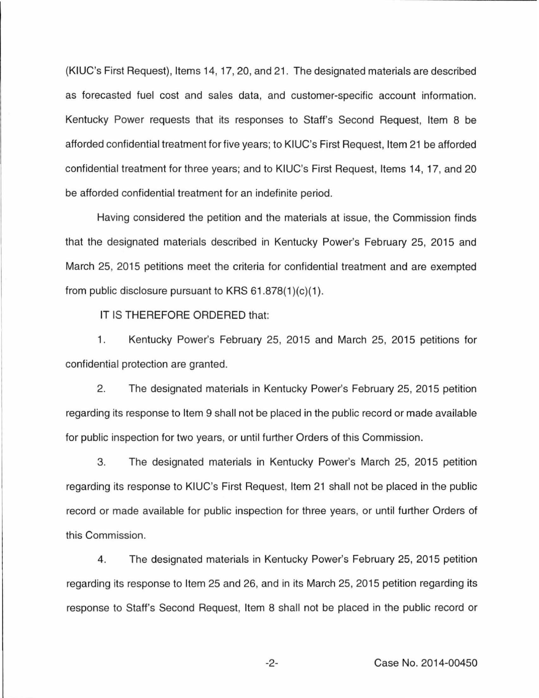(KIUC's First Request), Items 14, 17, 20, and 21 . The designated materials are described as forecasted fuel cost and sales data, and customer-specific account information. Kentucky Power requests that its responses to Staff's Second Request, Item 8 be afforded confidential treatment for five years; to KIUC's First Request, Item 21 be afforded confidential treatment for three years; and to KIUC's First Request, Items 14, 17, and 20 be afforded confidential treatment for an indefinite period.

Having considered the petition and the materials at issue, the Commission finds that the designated materials described in Kentucky Power's February 25, 2015 and March 25, 2015 petitions meet the criteria for confidential treatment and are exempted from public disclosure pursuant to KRS  $61.878(1)(c)(1)$ .

IT IS THEREFORE ORDERED that:

1. Kentucky Power's February 25, 2015 and March 25, 2015 petitions for confidential protection are granted.

2. The designated materials in Kentucky Power's February 25, 2015 petition regarding its response to Item 9 shall not be placed in the public record or made available for public inspection for two years, or until further Orders of this Commission.

3. The designated materials in Kentucky Power's March 25, 2015 petition regarding its response to KIUC's First Request, Item 21 shall not be placed in the public record or made available for public inspection for three years, or until further Orders of this Commission.

4. The designated materials in Kentucky Power's February 25, 2015 petition regarding its response to Item 25 and 26, and in its March 25, 2015 petition regarding its response to Staff's Second Request, Item 8 shall not be placed in the public record or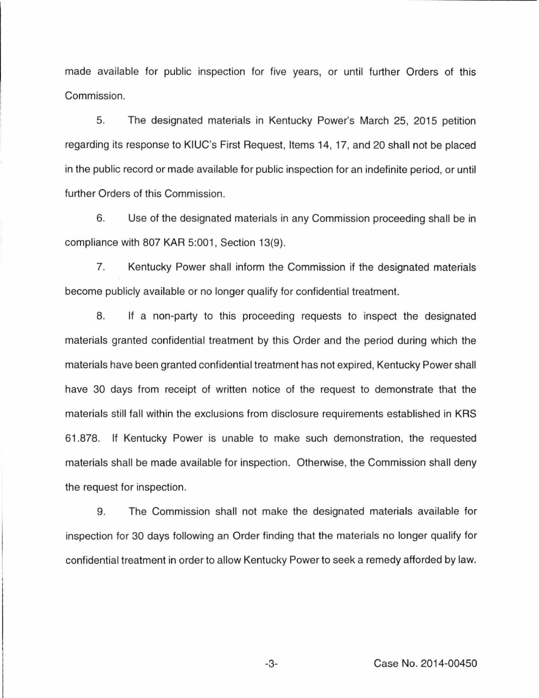made available for public inspection for five years, or until further Orders of this Commission.

5. The designated materials in Kentucky Power's March 25, 2015 petition regarding its response to KIUC's First Request, Items 14, 17, and 20 shall not be placed in the public record or made available for public inspection for an indefinite period, or until further Orders of this Commission.

6. Use of the designated materials in any Commission proceeding shall be in compliance with 807 KAR 5:001, Section 13(9).

7. Kentucky Power shall inform the Commission if the designated materials become publicly available or no longer qualify for confidential treatment.

8. If a non-party to this proceeding requests to inspect the designated materials granted confidential treatment by this Order and the period during which the materials have been granted confidential treatment has not expired, Kentucky Power shall have 30 days from receipt of written notice of the request to demonstrate that the materials still fall within the exclusions from disclosure requirements established in KRS 61.878. If Kentucky Power is unable to make such demonstration, the requested materials shall be made available for inspection. Otherwise, the Commission shall deny the request for inspection.

9. The Commission shall not make the designated materials available for inspection for 30 days following an Order finding that the materials no longer qualify for confidential treatment in order to allow Kentucky Power to seek a remedy afforded by law.

-3- Case No. 2014-00450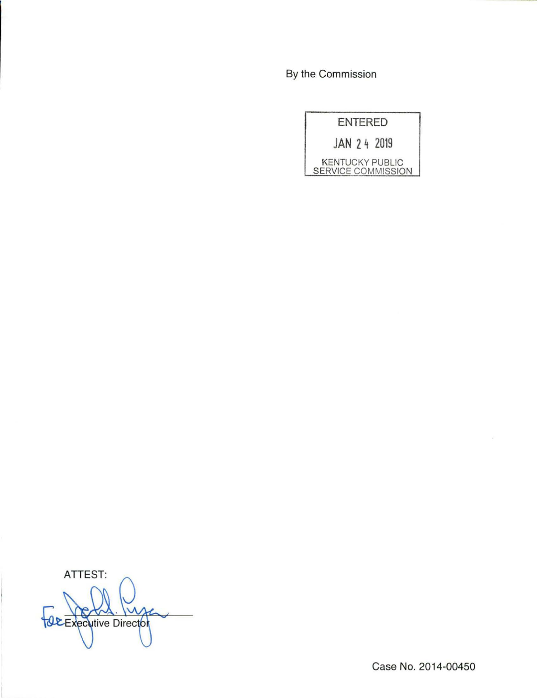By the Commission

| <b>ENTERED</b>                               |
|----------------------------------------------|
| JAN 24 2019                                  |
| <b>KENTUCKY PUBLIC</b><br>SERVICE COMMISSION |

ATTEST: *<u>ALExecutive Director</u>* 

Case No. 2014-00450